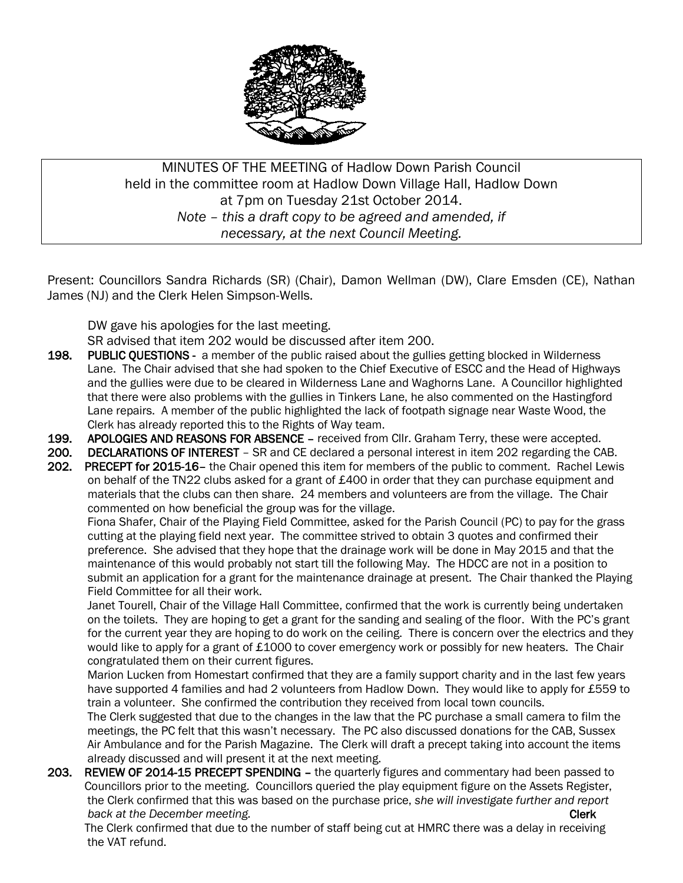

MINUTES OF THE MEETING of Hadlow Down Parish Council held in the committee room at Hadlow Down Village Hall, Hadlow Down at 7pm on Tuesday 21st October 2014. *Note – this a draft copy to be agreed and amended, if necessary, at the next Council Meeting.*

Present: Councillors Sandra Richards (SR) (Chair), Damon Wellman (DW), Clare Emsden (CE), Nathan James (NJ) and the Clerk Helen Simpson-Wells.

DW gave his apologies for the last meeting.

SR advised that item 202 would be discussed after item 200.

- 198. PUBLIC QUESTIONS a member of the public raised about the gullies getting blocked in Wilderness Lane. The Chair advised that she had spoken to the Chief Executive of ESCC and the Head of Highways and the gullies were due to be cleared in Wilderness Lane and Waghorns Lane. A Councillor highlighted that there were also problems with the gullies in Tinkers Lane, he also commented on the Hastingford Lane repairs. A member of the public highlighted the lack of footpath signage near Waste Wood, the Clerk has already reported this to the Rights of Way team.
- 199. APOLOGIES AND REASONS FOR ABSENCE received from Cllr. Graham Terry, these were accepted.
- 200. DECLARATIONS OF INTEREST SR and CE declared a personal interest in item 202 regarding the CAB.
- 202. PRECEPT for 2015-16– the Chair opened this item for members of the public to comment. Rachel Lewis on behalf of the TN22 clubs asked for a grant of £400 in order that they can purchase equipment and materials that the clubs can then share. 24 members and volunteers are from the village. The Chair commented on how beneficial the group was for the village.

 Fiona Shafer, Chair of the Playing Field Committee, asked for the Parish Council (PC) to pay for the grass cutting at the playing field next year. The committee strived to obtain 3 quotes and confirmed their preference. She advised that they hope that the drainage work will be done in May 2015 and that the maintenance of this would probably not start till the following May. The HDCC are not in a position to submit an application for a grant for the maintenance drainage at present. The Chair thanked the Playing Field Committee for all their work.

 Janet Tourell, Chair of the Village Hall Committee, confirmed that the work is currently being undertaken on the toilets. They are hoping to get a grant for the sanding and sealing of the floor. With the PC's grant for the current year they are hoping to do work on the ceiling. There is concern over the electrics and they would like to apply for a grant of £1000 to cover emergency work or possibly for new heaters. The Chair congratulated them on their current figures.

 Marion Lucken from Homestart confirmed that they are a family support charity and in the last few years have supported 4 families and had 2 volunteers from Hadlow Down. They would like to apply for £559 to train a volunteer. She confirmed the contribution they received from local town councils.

 The Clerk suggested that due to the changes in the law that the PC purchase a small camera to film the meetings, the PC felt that this wasn't necessary. The PC also discussed donations for the CAB, Sussex Air Ambulance and for the Parish Magazine. The Clerk will draft a precept taking into account the items already discussed and will present it at the next meeting.

203. REVIEW OF 2014-15 PRECEPT SPENDING - the quarterly figures and commentary had been passed to Councillors prior to the meeting. Councillors queried the play equipment figure on the Assets Register, the Clerk confirmed that this was based on the purchase price, *she will investigate further and report back at the December meeting.* Clerk and the set of the set of the set of the set of the set of the set of the set of the set of the set of the set of the set of the set of the set of the set of the set of the set of th

 The Clerk confirmed that due to the number of staff being cut at HMRC there was a delay in receiving the VAT refund.